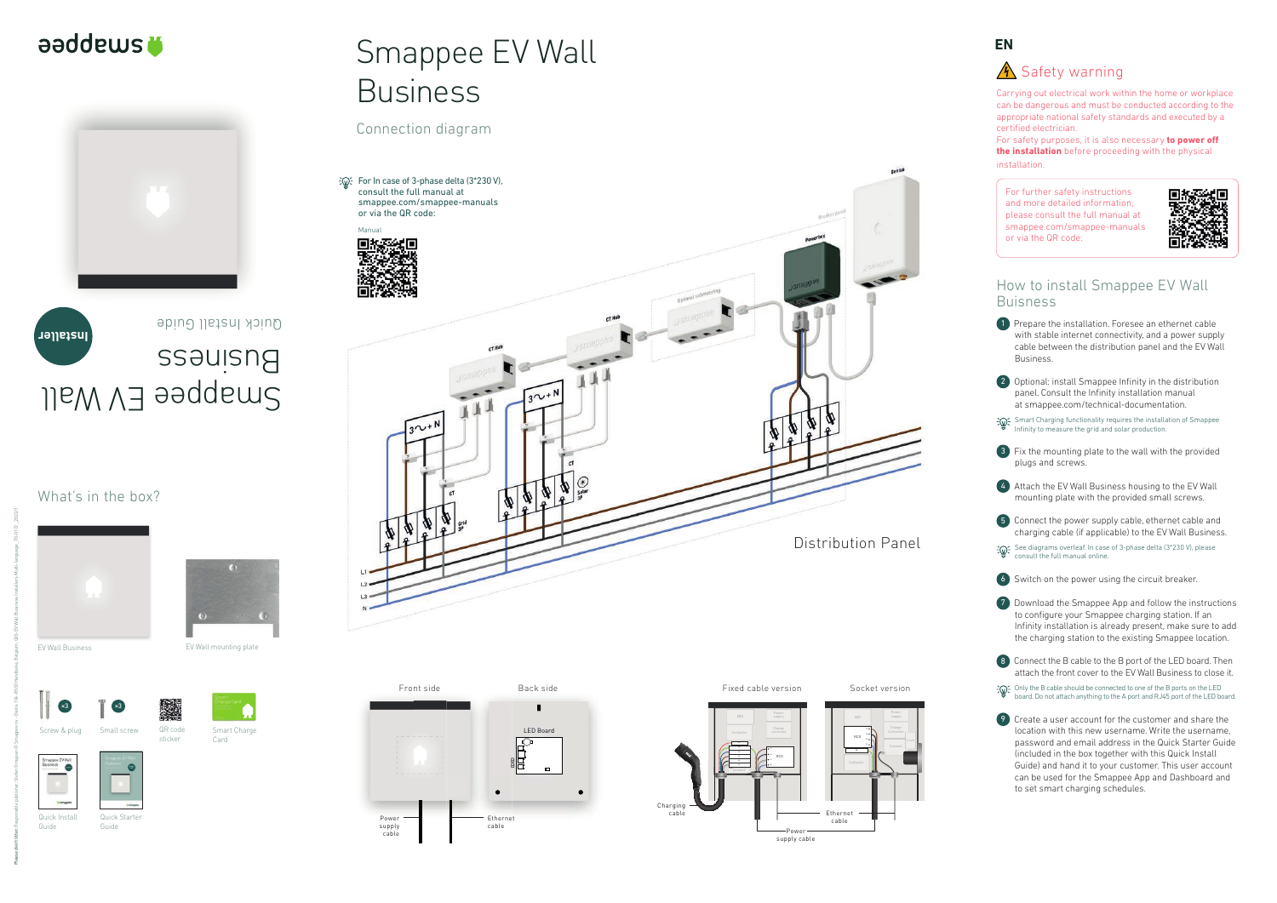Carrying out electrical work within the home or workplace can be dangerous and must be conducted according to the appropriate national safety standards and executed by a certified electrician.

For safety purposes, it is also necessary **to power off the installation** before proceeding with the physical installation.

**1** Prepare the installation. Foresee an ethernet cable with stable internet connectivity, and a power supply cable between the distribution panel and the EV Wall Business.



For further safety instructions and more detailed information, please consult the full manual at smappee.com/smappee-manuals or via the QR code:



2 Optional: install Smappee Infinity in the distribution panel. Consult the Infinity installation manual at smappee.com/technical-documentation.

Smart Charging functionality requires the installation of Smappee Infinity to measure the grid and solar production.



## How to install Smappee EV Wall Buisness

 $\frac{1}{2}$  Only the B cable should be connected to one of the B ports on the LED board. Do not attach anything to the A port and RJ45 port of the LED board.

3 Fix the mounting plate to the wall with the provided plugs and screws.



4 Attach the EV Wall Business housing to the EV Wall mounting plate with the provided small screws.



5 Connect the power supply cable, ethernet cable and charging cable (if applicable) to the EV Wall Business.

See diagrams overleaf. In case of 3-phase delta (3\*230 V), please consult the full manual online.



6 Switch on the power using the circuit breaker.

BB LED Board Powe supply cable Ethernet cable Front side Back side





7 Download the Smappee App and follow the instructions to configure your Smappee charging station. If an Infinity installation is already present, make sure to add the charging station to the existing Smappee location.



9 Create a user account for the customer and share the location with this new username. Write the username, password and email address in the Quick Starter Guide (included in the box together with this Quick Install Guide) and hand it to your customer. This user account can be used for the Smappee App and Dashboard and to set smart charging schedules.



## **A** Safety warning



## What's in the box?

EV Wall Business EV Wall mounting plate

Screw & plug

×3

Small screw

×3









# Smappee EV Wall Business

Connection diagram

Quick Install Guide

QR code sticker

Smart Charge Card

Quick Starter Guide